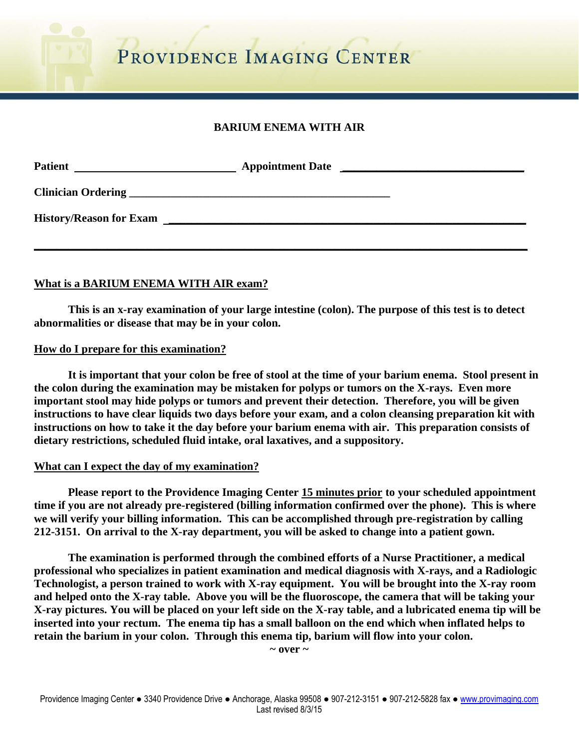PROVIDENCE IMAGING CENTER

# **BARIUM ENEMA WITH AIR**

| <b>Patient</b> | <b>Appointment Date</b> | <u> 1980 - Andrea Andrews, amerikansk politik (d. 1980)</u> |
|----------------|-------------------------|-------------------------------------------------------------|
|                |                         |                                                             |
|                | History/Reason for Exam |                                                             |
|                |                         |                                                             |

### **What is a BARIUM ENEMA WITH AIR exam?**

 **This is an x-ray examination of your large intestine (colon). The purpose of this test is to detect abnormalities or disease that may be in your colon.** 

#### **How do I prepare for this examination?**

 **It is important that your colon be free of stool at the time of your barium enema. Stool present in the colon during the examination may be mistaken for polyps or tumors on the X-rays. Even more important stool may hide polyps or tumors and prevent their detection. Therefore, you will be given instructions to have clear liquids two days before your exam, and a colon cleansing preparation kit with instructions on how to take it the day before your barium enema with air. This preparation consists of dietary restrictions, scheduled fluid intake, oral laxatives, and a suppository.** 

#### **What can I expect the day of my examination?**

 **Please report to the Providence Imaging Center 15 minutes prior to your scheduled appointment time if you are not already pre-registered (billing information confirmed over the phone). This is where we will verify your billing information. This can be accomplished through pre-registration by calling 212-3151. On arrival to the X-ray department, you will be asked to change into a patient gown.** 

 **The examination is performed through the combined efforts of a Nurse Practitioner, a medical professional who specializes in patient examination and medical diagnosis with X-rays, and a Radiologic Technologist, a person trained to work with X-ray equipment. You will be brought into the X-ray room and helped onto the X-ray table. Above you will be the fluoroscope, the camera that will be taking your X-ray pictures. You will be placed on your left side on the X-ray table, and a lubricated enema tip will be inserted into your rectum. The enema tip has a small balloon on the end which when inflated helps to retain the barium in your colon. Through this enema tip, barium will flow into your colon.** 

**~ over ~**